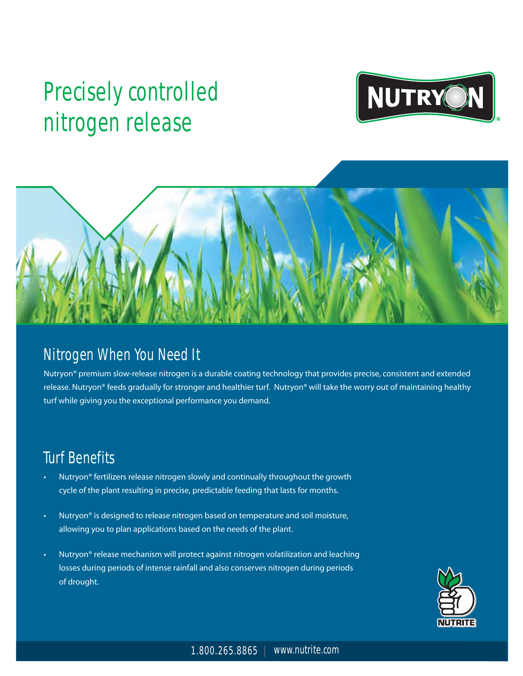# **Precisely controlled nitrogen release**





### **Nitrogen When You Need It**

Nutryon® premium slow-release nitrogen is a durable coating technology that provides precise, consistent and extended release. Nutryon® feeds gradually for stronger and healthier turf. Nutryon® will take the worry out of maintaining healthy turf while giving you the exceptional performance you demand.

## **Turf Benefits**

- Nutryon® fertilizers release nitrogen slowly and continually throughout the growth cycle of the plant resulting in precise, predictable feeding that lasts for months.
- Nutryon<sup>®</sup> is designed to release nitrogen based on temperature and soil moisture, allowing you to plan applications based on the needs of the plant.
- Nutryon® release mechanism will protect against nitrogen volatilization and leaching losses during periods of intense rainfall and also conserves nitrogen during periods of drought.